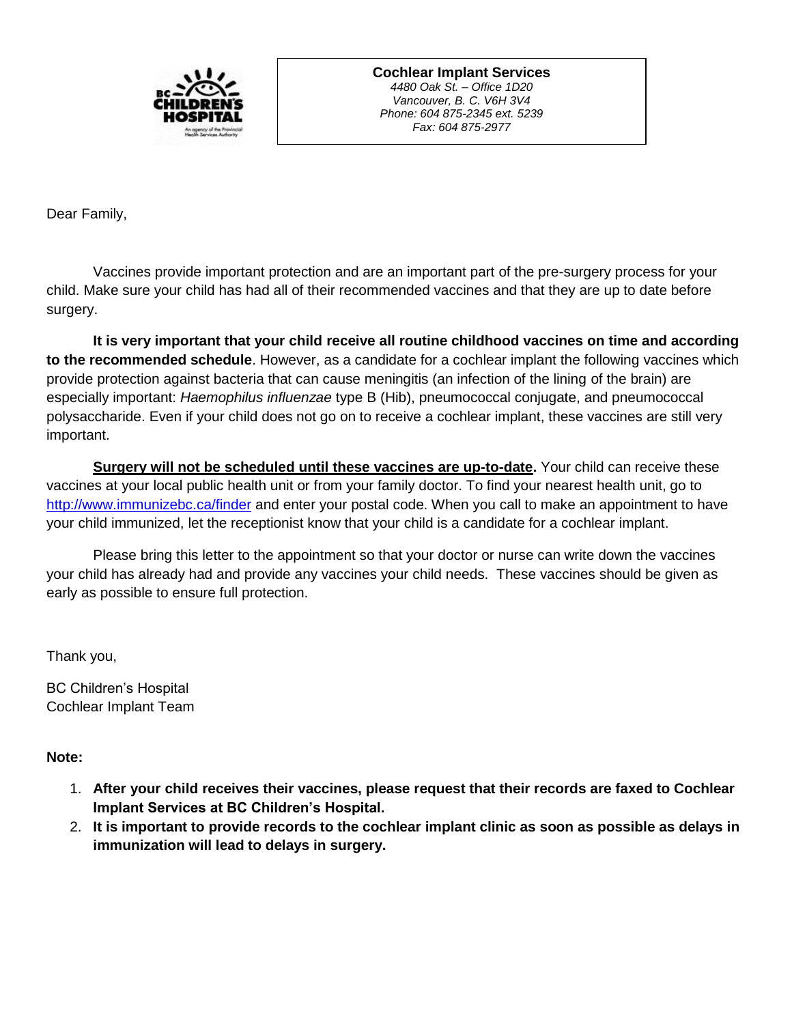

**Cochlear Implant Services** *4480 Oak St. – Office 1D20 Vancouver, B. C. V6H 3V4 Phone: 604 875-2345 ext. 5239 Fax: 604 875-2977*

Dear Family,

Vaccines provide important protection and are an important part of the pre-surgery process for your child. Make sure your child has had all of their recommended vaccines and that they are up to date before surgery.

**It is very important that your child receive all routine childhood vaccines on time and according to the recommended schedule**. However, as a candidate for a cochlear implant the following vaccines which provide protection against bacteria that can cause meningitis (an infection of the lining of the brain) are especially important: *Haemophilus influenzae* type B (Hib), pneumococcal conjugate, and pneumococcal polysaccharide. Even if your child does not go on to receive a cochlear implant, these vaccines are still very important.

Surgery will not be scheduled until these vaccines are up-to-date. Your child can receive these vaccines at your local public health unit or from your family doctor. To find your nearest health unit, go to <http://www.immunizebc.ca/finder> and enter your postal code. When you call to make an appointment to have your child immunized, let the receptionist know that your child is a candidate for a cochlear implant.

Please bring this letter to the appointment so that your doctor or nurse can write down the vaccines your child has already had and provide any vaccines your child needs. These vaccines should be given as early as possible to ensure full protection.

Thank you,

BC Children's Hospital Cochlear Implant Team

## **Note:**

- 1. **After your child receives their vaccines, please request that their records are faxed to Cochlear Implant Services at BC Children's Hospital.**
- 2. **It is important to provide records to the cochlear implant clinic as soon as possible as delays in immunization will lead to delays in surgery.**